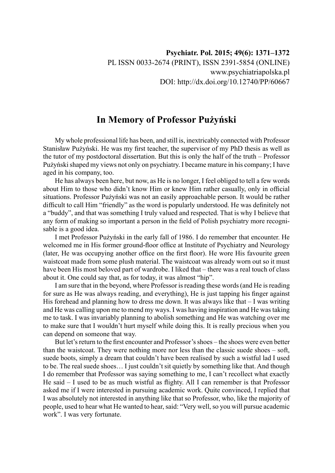## **In Memory of Professor Pużyński**

My whole professional life has been, and still is, inextricably connected with Professor Stanisław Pużyński. He was my first teacher, the supervisor of my PhD thesis as well as the tutor of my postdoctoral dissertation. But this is only the half of the truth – Professor Pużyński shaped my views not only on psychiatry. I became mature in his company; I have aged in his company, too.

He has always been here, but now, as He is no longer, I feel obliged to tell a few words about Him to those who didn't know Him or knew Him rather casually, only in official situations. Professor Pużyński was not an easily approachable person. It would be rather difficult to call Him "friendly" as the word is popularly understood. He was definitely not a "buddy", and that was something I truly valued and respected. That is why I believe that any form of making so important a person in the field of Polish psychiatry more recognisable is a good idea.

I met Professor Pużyński in the early fall of 1986. I do remember that encounter. He welcomed me in His former ground-floor office at Institute of Psychiatry and Neurology (later, He was occupying another office on the first floor). He wore His favourite green waistcoat made from some plush material. The waistcoat was already worn out so it must have been His most beloved part of wardrobe. I liked that – there was a real touch of class about it. One could say that, as for today, it was almost "hip".

I am sure that in the beyond, where Professor is reading these words (and He is reading for sure as He was always reading, and everything), He is just tapping his finger against His forehead and planning how to dress me down. It was always like that  $-I$  was writing and He was calling upon me to mend my ways. I was having inspiration and He was taking me to task. I was invariably planning to abolish something and He was watching over me to make sure that I wouldn't hurt myself while doing this. It is really precious when you can depend on someone that way.

But let's return to the first encounter and Professor's shoes – the shoes were even better than the waistcoat. They were nothing more nor less than the classic suede shoes – soft, suede boots, simply a dream that couldn't have been realised by such a wistful lad I used to be. The real suede shoes… I just couldn't sit quietly by something like that. And though I do remember that Professor was saying something to me, I can't recollect what exactly He said – I used to be as much wistful as flighty. All I can remember is that Professor asked me if I were interested in pursuing academic work. Quite convinced, I replied that I was absolutely not interested in anything like that so Professor, who, like the majority of people, used to hear what He wanted to hear, said: "Very well, so you will pursue academic work". I was very fortunate.